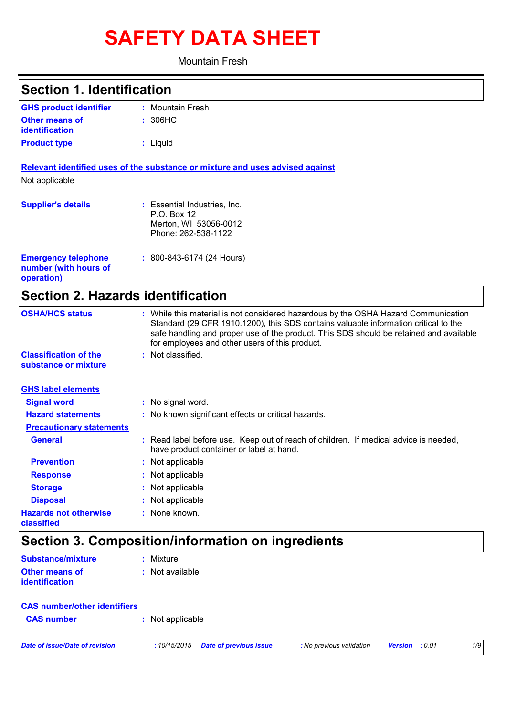# **SAFETY DATA SHEET**

Mountain Fresh

| <b>Section 1. Identification</b>                                  |                                                                                                                                                                                                                                                                                                                       |
|-------------------------------------------------------------------|-----------------------------------------------------------------------------------------------------------------------------------------------------------------------------------------------------------------------------------------------------------------------------------------------------------------------|
| <b>GHS product identifier</b>                                     | : Mountain Fresh                                                                                                                                                                                                                                                                                                      |
| <b>Other means of</b><br>identification                           | : 306HC                                                                                                                                                                                                                                                                                                               |
| <b>Product type</b>                                               | : Liquid                                                                                                                                                                                                                                                                                                              |
| Not applicable                                                    | Relevant identified uses of the substance or mixture and uses advised against                                                                                                                                                                                                                                         |
| <b>Supplier's details</b>                                         | : Essential Industries, Inc.<br>P.O. Box 12<br>Merton, WI 53056-0012<br>Phone: 262-538-1122                                                                                                                                                                                                                           |
| <b>Emergency telephone</b><br>number (with hours of<br>operation) | $: 800 - 843 - 6174 (24$ Hours)                                                                                                                                                                                                                                                                                       |
| <b>Section 2. Hazards identification</b>                          |                                                                                                                                                                                                                                                                                                                       |
| <b>OSHA/HCS status</b>                                            | : While this material is not considered hazardous by the OSHA Hazard Communication<br>Standard (29 CFR 1910.1200), this SDS contains valuable information critical to the<br>safe handling and proper use of the product. This SDS should be retained and available<br>for employees and other users of this product. |
| <b>Classification of the</b><br>substance or mixture              | : Not classified.                                                                                                                                                                                                                                                                                                     |
| <b>GHS label elements</b>                                         |                                                                                                                                                                                                                                                                                                                       |
| <b>Signal word</b>                                                | : No signal word.                                                                                                                                                                                                                                                                                                     |
| <b>Hazard statements</b>                                          | : No known significant effects or critical hazards.                                                                                                                                                                                                                                                                   |
| <b>Precautionary statements</b>                                   |                                                                                                                                                                                                                                                                                                                       |
| <b>General</b>                                                    | : Read label before use. Keep out of reach of children. If medical advice is needed,<br>have product container or label at hand.                                                                                                                                                                                      |
| <b>Prevention</b>                                                 | Not applicable                                                                                                                                                                                                                                                                                                        |
| <b>Response</b>                                                   | Not applicable                                                                                                                                                                                                                                                                                                        |
| <b>Storage</b>                                                    | Not applicable                                                                                                                                                                                                                                                                                                        |
| <b>Disposal</b>                                                   | Not applicable                                                                                                                                                                                                                                                                                                        |
| <b>Hazards not otherwise</b><br>classified                        | : None known.                                                                                                                                                                                                                                                                                                         |
|                                                                   | Section 3. Composition/information on ingredients                                                                                                                                                                                                                                                                     |
| <b>Substance/mixture</b>                                          | : Mixture                                                                                                                                                                                                                                                                                                             |
| <b>Other means of</b><br>identification                           | : Not available                                                                                                                                                                                                                                                                                                       |

| <b>CAS number/other identifiers</b> |                  |
|-------------------------------------|------------------|
| <b>CAS number</b>                   | : Not applicable |

*Date of issue/Date of revision* **:** *10/15/2015 Date of previous issue : No previous validation Version : 0.01 1/9*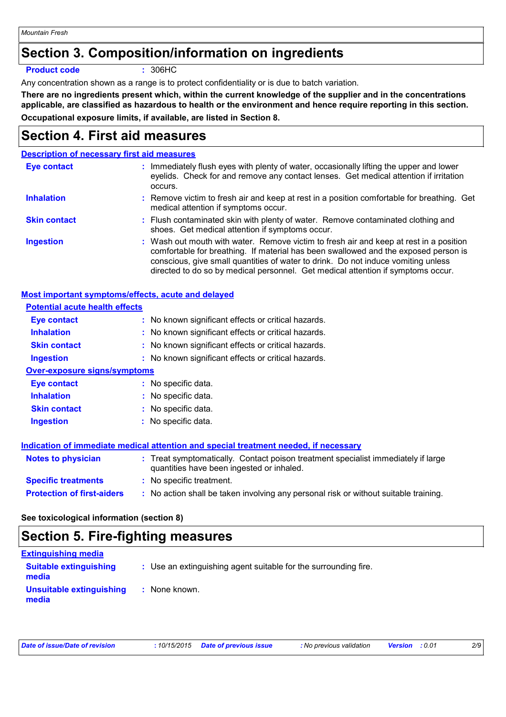### **Section 3. Composition/information on ingredients**

**Product code :** 306HC

Any concentration shown as a range is to protect confidentiality or is due to batch variation.

**There are no ingredients present which, within the current knowledge of the supplier and in the concentrations applicable, are classified as hazardous to health or the environment and hence require reporting in this section. Occupational exposure limits, if available, are listed in Section 8.**

# **Section 4. First aid measures**

### **Description of necessary first aid measures**

| Eye contact         | : Immediately flush eyes with plenty of water, occasionally lifting the upper and lower<br>eyelids. Check for and remove any contact lenses. Get medical attention if irritation<br>occurs.                                                                                                                                                            |
|---------------------|--------------------------------------------------------------------------------------------------------------------------------------------------------------------------------------------------------------------------------------------------------------------------------------------------------------------------------------------------------|
| <b>Inhalation</b>   | : Remove victim to fresh air and keep at rest in a position comfortable for breathing. Get<br>medical attention if symptoms occur.                                                                                                                                                                                                                     |
| <b>Skin contact</b> | : Flush contaminated skin with plenty of water. Remove contaminated clothing and<br>shoes. Get medical attention if symptoms occur.                                                                                                                                                                                                                    |
| <b>Ingestion</b>    | : Wash out mouth with water. Remove victim to fresh air and keep at rest in a position<br>comfortable for breathing. If material has been swallowed and the exposed person is<br>conscious, give small quantities of water to drink. Do not induce vomiting unless<br>directed to do so by medical personnel. Get medical attention if symptoms occur. |

| Most important symptoms/effects, acute and delayed |                                                                                                                                |
|----------------------------------------------------|--------------------------------------------------------------------------------------------------------------------------------|
| <b>Potential acute health effects</b>              |                                                                                                                                |
| <b>Eye contact</b>                                 | : No known significant effects or critical hazards.                                                                            |
| <b>Inhalation</b>                                  | : No known significant effects or critical hazards.                                                                            |
| <b>Skin contact</b>                                | : No known significant effects or critical hazards.                                                                            |
| <b>Ingestion</b>                                   | : No known significant effects or critical hazards.                                                                            |
| <b>Over-exposure signs/symptoms</b>                |                                                                                                                                |
| Eye contact                                        | : No specific data.                                                                                                            |
| <b>Inhalation</b>                                  | : No specific data.                                                                                                            |
| <b>Skin contact</b>                                | : No specific data.                                                                                                            |
| <b>Ingestion</b>                                   | : No specific data.                                                                                                            |
|                                                    | Indication of immediate medical attention and special treatment needed, if necessary                                           |
| <b>Notes to physician</b>                          | : Treat symptomatically. Contact poison treatment specialist immediately if large<br>quantities have been ingested or inhaled. |
| <b>Specific treatments</b>                         | : No specific treatment.                                                                                                       |
| <b>Protection of first-aiders</b>                  | : No action shall be taken involving any personal risk or without suitable training.                                           |

### **See toxicological information (section 8)**

### **Section 5. Fire-fighting measures**

| <b>Extinguishing media</b>             |                                                                 |
|----------------------------------------|-----------------------------------------------------------------|
| <b>Suitable extinguishing</b><br>media | : Use an extinguishing agent suitable for the surrounding fire. |
| Unsuitable extinguishing<br>media      | None known.                                                     |

| Date of issue/Date of revision | : 10/15/2015 Date of previous issue | : No previous validation | <b>Version</b> : 0.01 |  |
|--------------------------------|-------------------------------------|--------------------------|-----------------------|--|
|--------------------------------|-------------------------------------|--------------------------|-----------------------|--|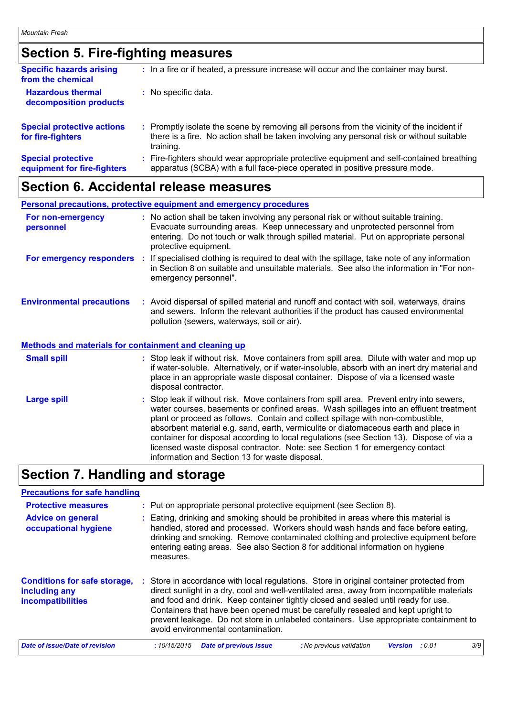# **Section 5. Fire-fighting measures**

| <b>Specific hazards arising</b><br>from the chemical     | : In a fire or if heated, a pressure increase will occur and the container may burst.                                                                                                             |
|----------------------------------------------------------|---------------------------------------------------------------------------------------------------------------------------------------------------------------------------------------------------|
| <b>Hazardous thermal</b><br>decomposition products       | No specific data.                                                                                                                                                                                 |
| <b>Special protective actions</b><br>for fire-fighters   | Promptly isolate the scene by removing all persons from the vicinity of the incident if<br>there is a fire. No action shall be taken involving any personal risk or without suitable<br>training. |
| <b>Special protective</b><br>equipment for fire-fighters | Fire-fighters should wear appropriate protective equipment and self-contained breathing<br>apparatus (SCBA) with a full face-piece operated in positive pressure mode.                            |

# **Section 6. Accidental release measures**

|                                                              | <b>Personal precautions, protective equipment and emergency procedures</b>                                                                                                                                                                                                                                                                                                                                                                                                                                                                                                                 |
|--------------------------------------------------------------|--------------------------------------------------------------------------------------------------------------------------------------------------------------------------------------------------------------------------------------------------------------------------------------------------------------------------------------------------------------------------------------------------------------------------------------------------------------------------------------------------------------------------------------------------------------------------------------------|
| For non-emergency<br>personnel                               | : No action shall be taken involving any personal risk or without suitable training.<br>Evacuate surrounding areas. Keep unnecessary and unprotected personnel from<br>entering. Do not touch or walk through spilled material. Put on appropriate personal<br>protective equipment.                                                                                                                                                                                                                                                                                                       |
|                                                              | For emergency responders : If specialised clothing is required to deal with the spillage, take note of any information<br>in Section 8 on suitable and unsuitable materials. See also the information in "For non-<br>emergency personnel".                                                                                                                                                                                                                                                                                                                                                |
| <b>Environmental precautions</b>                             | : Avoid dispersal of spilled material and runoff and contact with soil, waterways, drains<br>and sewers. Inform the relevant authorities if the product has caused environmental<br>pollution (sewers, waterways, soil or air).                                                                                                                                                                                                                                                                                                                                                            |
| <b>Methods and materials for containment and cleaning up</b> |                                                                                                                                                                                                                                                                                                                                                                                                                                                                                                                                                                                            |
| <b>Small spill</b>                                           | : Stop leak if without risk. Move containers from spill area. Dilute with water and mop up<br>if water-soluble. Alternatively, or if water-insoluble, absorb with an inert dry material and<br>place in an appropriate waste disposal container. Dispose of via a licensed waste<br>disposal contractor.                                                                                                                                                                                                                                                                                   |
| <b>Large spill</b>                                           | : Stop leak if without risk. Move containers from spill area. Prevent entry into sewers,<br>water courses, basements or confined areas. Wash spillages into an effluent treatment<br>plant or proceed as follows. Contain and collect spillage with non-combustible,<br>absorbent material e.g. sand, earth, vermiculite or diatomaceous earth and place in<br>container for disposal according to local regulations (see Section 13). Dispose of via a<br>licensed waste disposal contractor. Note: see Section 1 for emergency contact<br>information and Section 13 for waste disposal. |

# **Section 7. Handling and storage**

| <b>Precautions for safe handling</b>                                      |                                                                                                                                                                                                                                                                                                                                                                                                                                                                                              |  |  |  |
|---------------------------------------------------------------------------|----------------------------------------------------------------------------------------------------------------------------------------------------------------------------------------------------------------------------------------------------------------------------------------------------------------------------------------------------------------------------------------------------------------------------------------------------------------------------------------------|--|--|--|
| <b>Protective measures</b>                                                | : Put on appropriate personal protective equipment (see Section 8).                                                                                                                                                                                                                                                                                                                                                                                                                          |  |  |  |
| <b>Advice on general</b><br>occupational hygiene                          | Eating, drinking and smoking should be prohibited in areas where this material is<br>handled, stored and processed. Workers should wash hands and face before eating,<br>drinking and smoking. Remove contaminated clothing and protective equipment before<br>entering eating areas. See also Section 8 for additional information on hygiene<br>measures.                                                                                                                                  |  |  |  |
| <b>Conditions for safe storage,</b><br>including any<br>incompatibilities | : Store in accordance with local regulations. Store in original container protected from<br>direct sunlight in a dry, cool and well-ventilated area, away from incompatible materials<br>and food and drink. Keep container tightly closed and sealed until ready for use.<br>Containers that have been opened must be carefully resealed and kept upright to<br>prevent leakage. Do not store in unlabeled containers. Use appropriate containment to<br>avoid environmental contamination. |  |  |  |
| Date of issue/Date of revision                                            | 3/9<br>:10/15/2015<br><b>Date of previous issue</b><br>: No previous validation<br>: 0.01<br><b>Version</b>                                                                                                                                                                                                                                                                                                                                                                                  |  |  |  |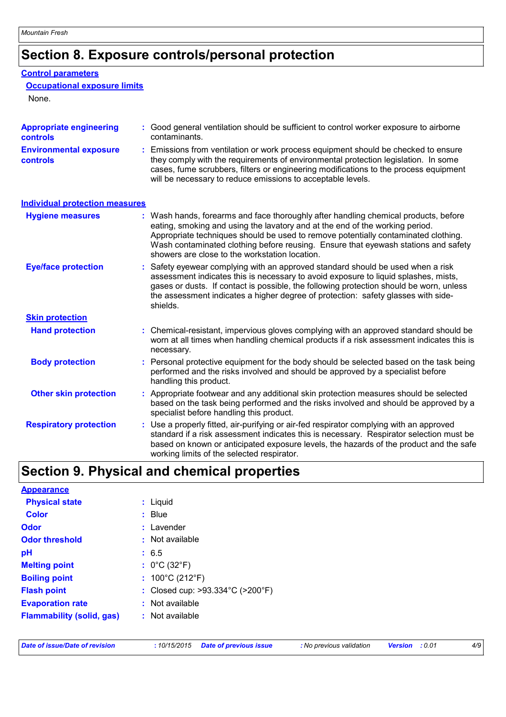# **Section 8. Exposure controls/personal protection**

#### **Control parameters**

#### **Occupational exposure limits**

None.

| <b>Appropriate engineering</b><br><b>controls</b> | Good general ventilation should be sufficient to control worker exposure to airborne<br>contaminants.                                                                                                                                                                                                                                                                                             |
|---------------------------------------------------|---------------------------------------------------------------------------------------------------------------------------------------------------------------------------------------------------------------------------------------------------------------------------------------------------------------------------------------------------------------------------------------------------|
| <b>Environmental exposure</b><br>controls         | Emissions from ventilation or work process equipment should be checked to ensure<br>they comply with the requirements of environmental protection legislation. In some<br>cases, fume scrubbers, filters or engineering modifications to the process equipment<br>will be necessary to reduce emissions to acceptable levels.                                                                     |
| <b>Individual protection measures</b>             |                                                                                                                                                                                                                                                                                                                                                                                                   |
| <b>Hygiene measures</b>                           | : Wash hands, forearms and face thoroughly after handling chemical products, before<br>eating, smoking and using the lavatory and at the end of the working period.<br>Appropriate techniques should be used to remove potentially contaminated clothing.<br>Wash contaminated clothing before reusing. Ensure that eyewash stations and safety<br>showers are close to the workstation location. |
| <b>Eye/face protection</b>                        | Safety eyewear complying with an approved standard should be used when a risk<br>assessment indicates this is necessary to avoid exposure to liquid splashes, mists,<br>gases or dusts. If contact is possible, the following protection should be worn, unless<br>the assessment indicates a higher degree of protection: safety glasses with side-<br>shields.                                  |
| <b>Skin protection</b>                            |                                                                                                                                                                                                                                                                                                                                                                                                   |
| <b>Hand protection</b>                            | : Chemical-resistant, impervious gloves complying with an approved standard should be<br>worn at all times when handling chemical products if a risk assessment indicates this is<br>necessary.                                                                                                                                                                                                   |
| <b>Body protection</b>                            | Personal protective equipment for the body should be selected based on the task being<br>performed and the risks involved and should be approved by a specialist before<br>handling this product.                                                                                                                                                                                                 |
| <b>Other skin protection</b>                      | : Appropriate footwear and any additional skin protection measures should be selected<br>based on the task being performed and the risks involved and should be approved by a<br>specialist before handling this product.                                                                                                                                                                         |
| <b>Respiratory protection</b>                     | Use a properly fitted, air-purifying or air-fed respirator complying with an approved<br>standard if a risk assessment indicates this is necessary. Respirator selection must be<br>based on known or anticipated exposure levels, the hazards of the product and the safe<br>working limits of the selected respirator.                                                                          |

### **Section 9. Physical and chemical properties**

| <b>Appearance</b>                |                                                       |
|----------------------------------|-------------------------------------------------------|
| <b>Physical state</b>            | : Liquid                                              |
| <b>Color</b>                     | $:$ Blue                                              |
| Odor                             | : Lavender                                            |
| <b>Odor threshold</b>            | $\cdot$ Not available                                 |
| рH                               | : 6.5                                                 |
| <b>Melting point</b>             | : $0^{\circ}$ C (32 $^{\circ}$ F)                     |
| <b>Boiling point</b>             | : $100^{\circ}$ C (212 $^{\circ}$ F)                  |
| <b>Flash point</b>               | : Closed cup: $>93.334^{\circ}$ C ( $>200^{\circ}$ F) |
| <b>Evaporation rate</b>          | : Not available                                       |
| <b>Flammability (solid, gas)</b> | : Not available                                       |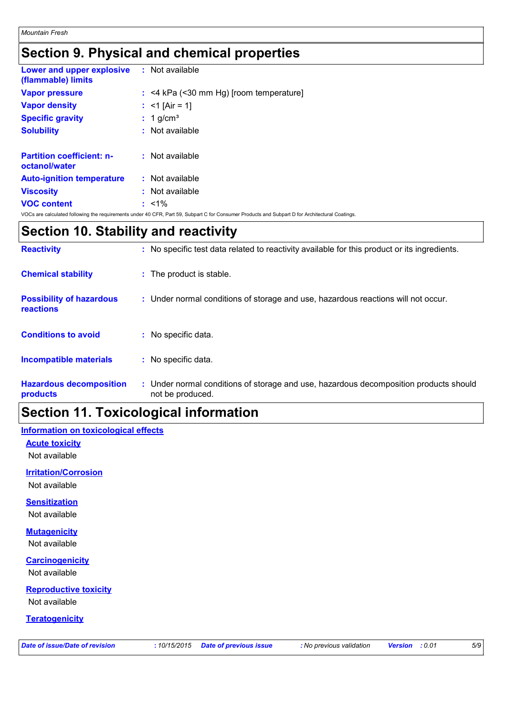### **Section 9. Physical and chemical properties**

| <b>Lower and upper explosive : Not available</b><br>(flammable) limits |                                                                                                                                                |
|------------------------------------------------------------------------|------------------------------------------------------------------------------------------------------------------------------------------------|
| <b>Vapor pressure</b>                                                  | $:$ <4 kPa (<30 mm Hg) [room temperature]                                                                                                      |
| <b>Vapor density</b>                                                   | : $<$ 1 [Air = 1]                                                                                                                              |
| <b>Specific gravity</b>                                                | $: 1$ g/cm <sup>3</sup>                                                                                                                        |
| <b>Solubility</b>                                                      | $:$ Not available                                                                                                                              |
| <b>Partition coefficient: n-</b><br>octanol/water                      | : Not available                                                                                                                                |
| <b>Auto-ignition temperature</b>                                       | $:$ Not available                                                                                                                              |
| <b>Viscosity</b>                                                       | $:$ Not available                                                                                                                              |
| <b>VOC content</b>                                                     | $: 1\%$                                                                                                                                        |
|                                                                        | VOCs are calculated following the requirements under 40 CFR, Part 59, Subpart C for Consumer Products and Subpart D for Architectural Coatings |

# **Section 10. Stability and reactivity**

| <b>Reactivity</b>                                   | : No specific test data related to reactivity available for this product or its ingredients.              |
|-----------------------------------------------------|-----------------------------------------------------------------------------------------------------------|
| <b>Chemical stability</b>                           | : The product is stable.                                                                                  |
| <b>Possibility of hazardous</b><br><b>reactions</b> | : Under normal conditions of storage and use, hazardous reactions will not occur.                         |
| <b>Conditions to avoid</b>                          | : No specific data.                                                                                       |
| <b>Incompatible materials</b>                       | : No specific data.                                                                                       |
| <b>Hazardous decomposition</b><br>products          | : Under normal conditions of storage and use, hazardous decomposition products should<br>not be produced. |

### **Section 11. Toxicological information**

#### **Information on toxicological effects**

**Acute toxicity** Not available

**Irritation/Corrosion**

Not available

#### **Sensitization**

Not available

### **Mutagenicity**

Not available

#### **Carcinogenicity**

Not available

### **Reproductive toxicity**

Not available

### **Teratogenicity**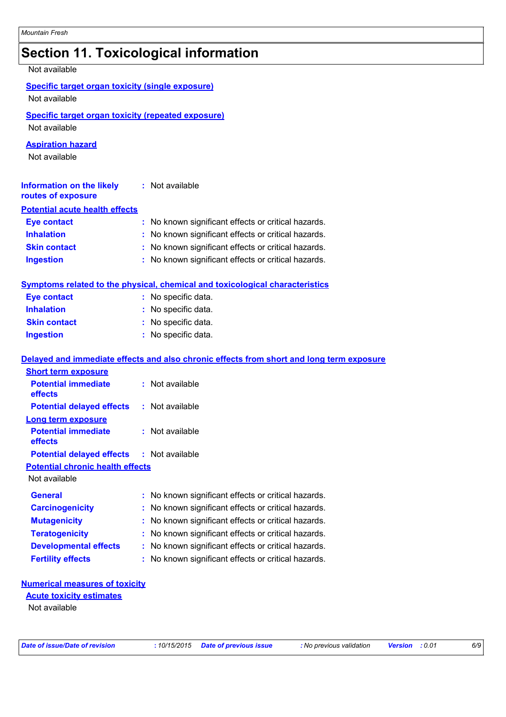### **Section 11. Toxicological information**

| Not available                                                              |                                                                                          |
|----------------------------------------------------------------------------|------------------------------------------------------------------------------------------|
| <b>Specific target organ toxicity (single exposure)</b><br>Not available   |                                                                                          |
| <b>Specific target organ toxicity (repeated exposure)</b><br>Not available |                                                                                          |
| <b>Aspiration hazard</b><br>Not available                                  |                                                                                          |
| <b>Information on the likely</b><br>routes of exposure                     | : Not available                                                                          |
| <b>Potential acute health effects</b>                                      |                                                                                          |
| <b>Eye contact</b>                                                         | : No known significant effects or critical hazards.                                      |
| <b>Inhalation</b>                                                          | : No known significant effects or critical hazards.                                      |
| <b>Skin contact</b>                                                        | : No known significant effects or critical hazards.                                      |
| <b>Ingestion</b>                                                           | : No known significant effects or critical hazards.                                      |
|                                                                            | <b>Symptoms related to the physical, chemical and toxicological characteristics</b>      |
| <b>Eye contact</b>                                                         | : No specific data.                                                                      |
| <b>Inhalation</b>                                                          | : No specific data.                                                                      |
| <b>Skin contact</b>                                                        | : No specific data.                                                                      |
| <b>Ingestion</b>                                                           | : No specific data.                                                                      |
|                                                                            | Delayed and immediate effects and also chronic effects from short and long term exposure |
| <b>Short term exposure</b>                                                 |                                                                                          |
| <b>Potential immediate</b><br>effects                                      | : Not available                                                                          |
| <b>Potential delayed effects</b>                                           | : Not available                                                                          |
| <b>Long term exposure</b>                                                  |                                                                                          |
| <b>Potential immediate</b><br>effects                                      | : Not available                                                                          |
| <b>Potential delayed effects</b>                                           | : Not available                                                                          |
| <b>Potential chronic health effects</b>                                    |                                                                                          |
| Not available                                                              |                                                                                          |
| <b>General</b>                                                             | No known significant effects or critical hazards.                                        |
| <b>Carcinogenicity</b>                                                     | No known significant effects or critical hazards.                                        |
| <b>Mutagenicity</b>                                                        | No known significant effects or critical hazards.                                        |
| <b>Teratogenicity</b>                                                      | No known significant effects or critical hazards.                                        |
| <b>Developmental effects</b>                                               | No known significant effects or critical hazards.                                        |
| <b>Fertility effects</b>                                                   | No known significant effects or critical hazards.                                        |
|                                                                            |                                                                                          |

#### **Numerical measures of toxicity**

#### Not available **Acute toxicity estimates**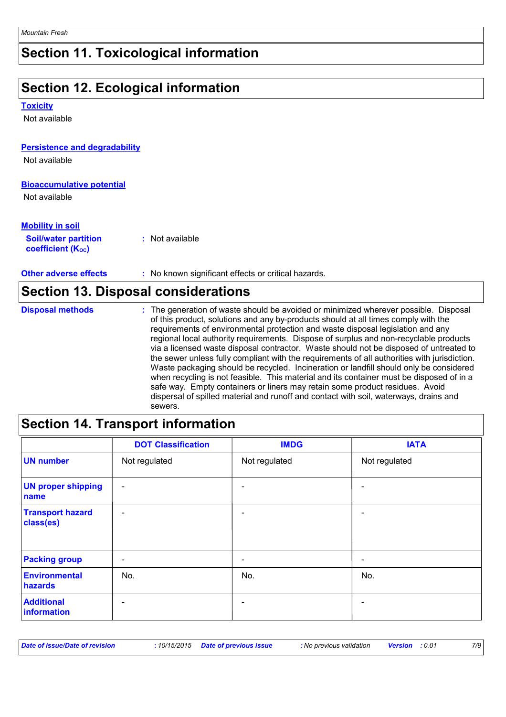# **Section 11. Toxicological information**

# **Section 12. Ecological information**

#### **Toxicity**

Not available

### **Persistence and degradability**

Not available

#### **Bioaccumulative potential**

Not available

| <b>Mobility in soil</b>                                 |                 |
|---------------------------------------------------------|-----------------|
| <b>Soil/water partition</b><br><b>coefficient (Koc)</b> | : Not available |

**Other adverse effects** : No known significant effects or critical hazards.

| Section 13. Disposal considerations |                                                                                                                                                                                                                                                                                                                                                                                                                                                                                                                                                                                                                                                                                                                                                                                                                                                                                                                            |  |  |  |
|-------------------------------------|----------------------------------------------------------------------------------------------------------------------------------------------------------------------------------------------------------------------------------------------------------------------------------------------------------------------------------------------------------------------------------------------------------------------------------------------------------------------------------------------------------------------------------------------------------------------------------------------------------------------------------------------------------------------------------------------------------------------------------------------------------------------------------------------------------------------------------------------------------------------------------------------------------------------------|--|--|--|
| <b>Disposal methods</b>             | : The generation of waste should be avoided or minimized wherever possible. Disposal<br>of this product, solutions and any by-products should at all times comply with the<br>requirements of environmental protection and waste disposal legislation and any<br>regional local authority requirements. Dispose of surplus and non-recyclable products<br>via a licensed waste disposal contractor. Waste should not be disposed of untreated to<br>the sewer unless fully compliant with the requirements of all authorities with jurisdiction.<br>Waste packaging should be recycled. Incineration or landfill should only be considered<br>when recycling is not feasible. This material and its container must be disposed of in a<br>safe way. Empty containers or liners may retain some product residues. Avoid<br>dispersal of spilled material and runoff and contact with soil, waterways, drains and<br>sewers. |  |  |  |

### **Section 14. Transport information**

|                                      | <b>DOT Classification</b> | <b>IMDG</b>   | <b>IATA</b>              |
|--------------------------------------|---------------------------|---------------|--------------------------|
| <b>UN number</b>                     | Not regulated             | Not regulated | Not regulated            |
| <b>UN proper shipping</b><br>name    | $\overline{\phantom{a}}$  |               |                          |
| <b>Transport hazard</b><br>class(es) | $\overline{\phantom{0}}$  |               |                          |
| <b>Packing group</b>                 | $\overline{\phantom{a}}$  | -             | $\overline{\phantom{a}}$ |
| Environmental<br>hazards             | No.                       | No.           | No.                      |
| <b>Additional</b><br>information     | $\overline{\phantom{0}}$  |               |                          |

| Date of issue/Date of revision |  | : 10/15/2015 Date of previous issue | : No previous validation | <b>Version</b> : 0.01 |  |
|--------------------------------|--|-------------------------------------|--------------------------|-----------------------|--|
|--------------------------------|--|-------------------------------------|--------------------------|-----------------------|--|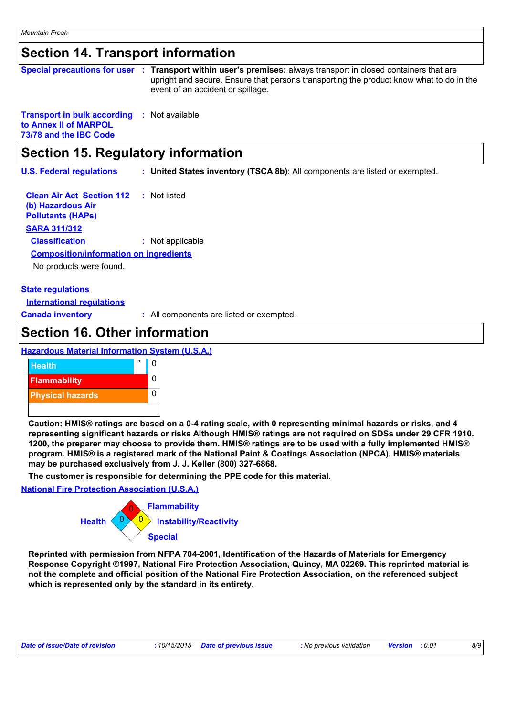### **Section 14. Transport information**

|                                                                                                       | Special precautions for user : Transport within user's premises: always transport in closed containers that are<br>upright and secure. Ensure that persons transporting the product know what to do in the<br>event of an accident or spillage. |
|-------------------------------------------------------------------------------------------------------|-------------------------------------------------------------------------------------------------------------------------------------------------------------------------------------------------------------------------------------------------|
| <b>Transport in bulk according : Not available</b><br>to Annex II of MARPOL<br>73/78 and the IBC Code |                                                                                                                                                                                                                                                 |

### **Section 15. Regulatory information**

**U.S. Federal regulations : United States inventory (TSCA 8b)**: All components are listed or exempted.

**Clean Air Act Section 112 (b) Hazardous Air Pollutants (HAPs) :** Not listed **SARA 311/312 Classification :** Not applicable No products were found. **Composition/information on ingredients**

#### **State regulations**

**International regulations**

**Canada inventory :** All components are listed or exempted.

### **Section 16. Other information**

**Hazardous Material Information System (U.S.A.)**



**Caution: HMIS® ratings are based on a 0-4 rating scale, with 0 representing minimal hazards or risks, and 4 representing significant hazards or risks Although HMIS® ratings are not required on SDSs under 29 CFR 1910. 1200, the preparer may choose to provide them. HMIS® ratings are to be used with a fully implemented HMIS® program. HMIS® is a registered mark of the National Paint & Coatings Association (NPCA). HMIS® materials may be purchased exclusively from J. J. Keller (800) 327-6868.**

**The customer is responsible for determining the PPE code for this material.**

**National Fire Protection Association (U.S.A.)**



**Reprinted with permission from NFPA 704-2001, Identification of the Hazards of Materials for Emergency Response Copyright ©1997, National Fire Protection Association, Quincy, MA 02269. This reprinted material is not the complete and official position of the National Fire Protection Association, on the referenced subject which is represented only by the standard in its entirety.**

| Date of issue/Date of revision |  | : 10/15/2015 Date of previous issue | : No previous validation | <b>Version</b> : 0.01 |  | 8/9 |
|--------------------------------|--|-------------------------------------|--------------------------|-----------------------|--|-----|
|--------------------------------|--|-------------------------------------|--------------------------|-----------------------|--|-----|